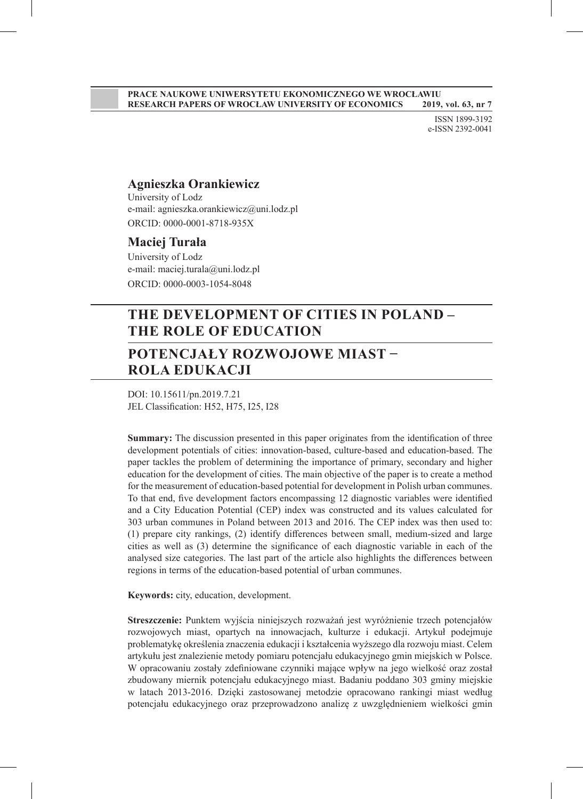#### **PRACE NAUKOWE UNIWERSYTETU EKONOMICZNEGO WE WROCŁAWIU RESEARCH PAPERS OF WROCŁAW UNIVERSITY OF ECONOMICS 2019, vol. 63, nr 7**

ISSN 1899-3192 e-ISSN 2392-0041

#### **Agnieszka Orankiewicz**

University of Lodz e-mail: agnieszka.orankiewicz@uni.lodz.pl ORCID: 0000-0001-8718-935X

#### **Maciej Turała**

University of Lodz e-mail: maciej.turala@uni.lodz.pl ORCID: 0000-0003-1054-8048

# **THE DEVELOPMENT OF CITIES IN POLAND – THE ROLE OF EDUCATION**

# **POTENCJAŁY ROZWOJOWE MIAST − ROLA EDUKACJI**

DOI: 10.15611/pn.2019.7.21 JEL Classification: H52, H75, I25, I28

**Summary:** The discussion presented in this paper originates from the identification of three development potentials of cities: innovation-based, culture-based and education-based. The paper tackles the problem of determining the importance of primary, secondary and higher education for the development of cities. The main objective of the paper is to create a method for the measurement of education-based potential for development in Polish urban communes. To that end, five development factors encompassing 12 diagnostic variables were identified and a City Education Potential (CEP) index was constructed and its values calculated for 303 urban communes in Poland between 2013 and 2016. The CEP index was then used to: (1) prepare city rankings, (2) identify differences between small, medium-sized and large cities as well as (3) determine the significance of each diagnostic variable in each of the analysed size categories. The last part of the article also highlights the differences between regions in terms of the education-based potential of urban communes.

**Keywords:** city, education, development.

**Streszczenie:** Punktem wyjścia niniejszych rozważań jest wyróżnienie trzech potencjałów rozwojowych miast, opartych na innowacjach, kulturze i edukacji. Artykuł podejmuje problematykę określenia znaczenia edukacji i kształcenia wyższego dla rozwoju miast. Celem artykułu jest znalezienie metody pomiaru potencjału edukacyjnego gmin miejskich w Polsce. W opracowaniu zostały zdefiniowane czynniki mające wpływ na jego wielkość oraz został zbudowany miernik potencjału edukacyjnego miast. Badaniu poddano 303 gminy miejskie w latach 2013-2016. Dzięki zastosowanej metodzie opracowano rankingi miast według potencjału edukacyjnego oraz przeprowadzono analizę z uwzględnieniem wielkości gmin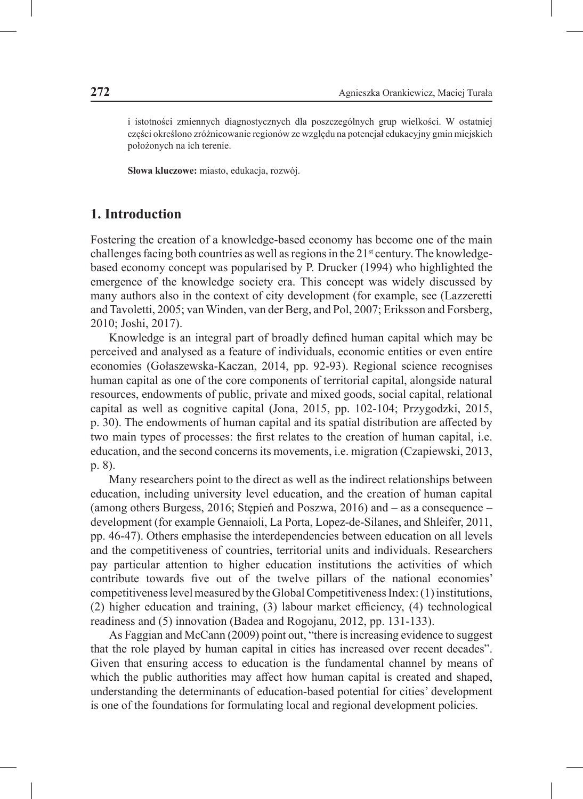i istotności zmiennych diagnostycznych dla poszczególnych grup wielkości. W ostatniej części określono zróżnicowanie regionów ze względu na potencjał edukacyjny gmin miejskich położonych na ich terenie.

**Słowa kluczowe:** miasto, edukacja, rozwój.

#### **1. Introduction**

Fostering the creation of a knowledge-based economy has become one of the main challenges facing both countries as well as regions in the  $21<sup>st</sup>$  century. The knowledgebased economy concept was popularised by P. Drucker (1994) who highlighted the emergence of the knowledge society era. This concept was widely discussed by many authors also in the context of city development (for example, see (Lazzeretti and Tavoletti, 2005; van Winden, van der Berg, and Pol, 2007; Eriksson and Forsberg, 2010; Joshi, 2017).

Knowledge is an integral part of broadly defined human capital which may be perceived and analysed as a feature of individuals, economic entities or even entire economies (Gołaszewska-Kaczan, 2014, pp. 92-93). Regional science recognises human capital as one of the core components of territorial capital, alongside natural resources, endowments of public, private and mixed goods, social capital, relational capital as well as cognitive capital (Jona, 2015, pp. 102-104; Przygodzki, 2015, p. 30). The endowments of human capital and its spatial distribution are affected by two main types of processes: the first relates to the creation of human capital, i.e. education, and the second concerns its movements, i.e. migration (Czapiewski, 2013, p. 8).

Many researchers point to the direct as well as the indirect relationships between education, including university level education, and the creation of human capital (among others Burgess, 2016; Stępień and Poszwa, 2016) and – as a consequence – development (for example Gennaioli, La Porta, Lopez-de-Silanes, and Shleifer, 2011, pp. 46-47). Others emphasise the interdependencies between education on all levels and the competitiveness of countries, territorial units and individuals. Researchers pay particular attention to higher education institutions the activities of which contribute towards five out of the twelve pillars of the national economies' competitiveness level measured by the Global Competitiveness Index: (1) institutions, (2) higher education and training, (3) labour market efficiency, (4) technological readiness and (5) innovation (Badea and Rogojanu, 2012, pp. 131-133).

As Faggian and McCann (2009) point out, "there is increasing evidence to suggest that the role played by human capital in cities has increased over recent decades". Given that ensuring access to education is the fundamental channel by means of which the public authorities may affect how human capital is created and shaped, understanding the determinants of education-based potential for cities' development is one of the foundations for formulating local and regional development policies.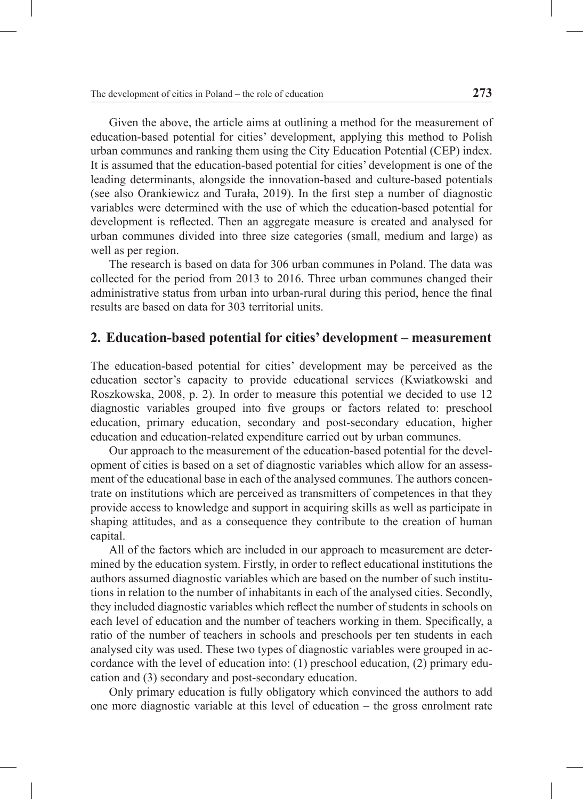Given the above, the article aims at outlining a method for the measurement of education-based potential for cities' development, applying this method to Polish urban communes and ranking them using the City Education Potential (CEP) index. It is assumed that the education-based potential for cities' development is one of the leading determinants, alongside the innovation-based and culture-based potentials (see also Orankiewicz and Turała, 2019). In the first step a number of diagnostic variables were determined with the use of which the education-based potential for development is reflected. Then an aggregate measure is created and analysed for urban communes divided into three size categories (small, medium and large) as well as per region.

The research is based on data for 306 urban communes in Poland. The data was collected for the period from 2013 to 2016. Three urban communes changed their administrative status from urban into urban-rural during this period, hence the final results are based on data for 303 territorial units.

#### **2. Education-based potential for cities' development – measurement**

The education-based potential for cities' development may be perceived as the education sector's capacity to provide educational services (Kwiatkowski and Roszkowska, 2008, p. 2). In order to measure this potential we decided to use 12 diagnostic variables grouped into five groups or factors related to: preschool education, primary education, secondary and post-secondary education, higher education and education-related expenditure carried out by urban communes.

Our approach to the measurement of the education-based potential for the development of cities is based on a set of diagnostic variables which allow for an assessment of the educational base in each of the analysed communes. The authors concentrate on institutions which are perceived as transmitters of competences in that they provide access to knowledge and support in acquiring skills as well as participate in shaping attitudes, and as a consequence they contribute to the creation of human capital.

All of the factors which are included in our approach to measurement are determined by the education system. Firstly, in order to reflect educational institutions the authors assumed diagnostic variables which are based on the number of such institutions in relation to the number of inhabitants in each of the analysed cities. Secondly, they included diagnostic variables which reflect the number of students in schools on each level of education and the number of teachers working in them. Specifically, a ratio of the number of teachers in schools and preschools per ten students in each analysed city was used. These two types of diagnostic variables were grouped in accordance with the level of education into: (1) preschool education, (2) primary education and (3) secondary and post-secondary education.

Only primary education is fully obligatory which convinced the authors to add one more diagnostic variable at this level of education – the gross enrolment rate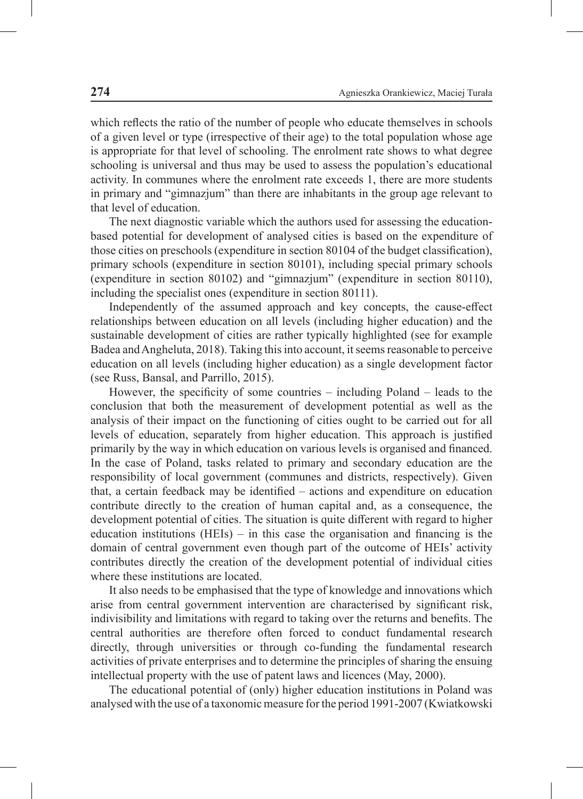which reflects the ratio of the number of people who educate themselves in schools of a given level or type (irrespective of their age) to the total population whose age is appropriate for that level of schooling. The enrolment rate shows to what degree schooling is universal and thus may be used to assess the population's educational activity. In communes where the enrolment rate exceeds 1, there are more students in primary and "gimnazjum" than there are inhabitants in the group age relevant to that level of education.

The next diagnostic variable which the authors used for assessing the educationbased potential for development of analysed cities is based on the expenditure of those cities on preschools (expenditure in section 80104 of the budget classification), primary schools (expenditure in section 80101), including special primary schools (expenditure in section 80102) and "gimnazjum" (expenditure in section 80110), including the specialist ones (expenditure in section 80111).

Independently of the assumed approach and key concepts, the cause-effect relationships between education on all levels (including higher education) and the sustainable development of cities are rather typically highlighted (see for example Badea and Angheluta, 2018). Taking this into account, it seems reasonable to perceive education on all levels (including higher education) as a single development factor (see Russ, Bansal, and Parrillo, 2015).

However, the specificity of some countries – including Poland – leads to the conclusion that both the measurement of development potential as well as the analysis of their impact on the functioning of cities ought to be carried out for all levels of education, separately from higher education. This approach is justified primarily by the way in which education on various levels is organised and financed. In the case of Poland, tasks related to primary and secondary education are the responsibility of local government (communes and districts, respectively). Given that, a certain feedback may be identified – actions and expenditure on education contribute directly to the creation of human capital and, as a consequence, the development potential of cities. The situation is quite different with regard to higher education institutions  $(HEIs)$  – in this case the organisation and financing is the domain of central government even though part of the outcome of HEIs' activity contributes directly the creation of the development potential of individual cities where these institutions are located.

It also needs to be emphasised that the type of knowledge and innovations which arise from central government intervention are characterised by significant risk, indivisibility and limitations with regard to taking over the returns and benefits. The central authorities are therefore often forced to conduct fundamental research directly, through universities or through co-funding the fundamental research activities of private enterprises and to determine the principles of sharing the ensuing intellectual property with the use of patent laws and licences (May, 2000).

The educational potential of (only) higher education institutions in Poland was analysed with the use of a taxonomic measure for the period 1991-2007 (Kwiatkowski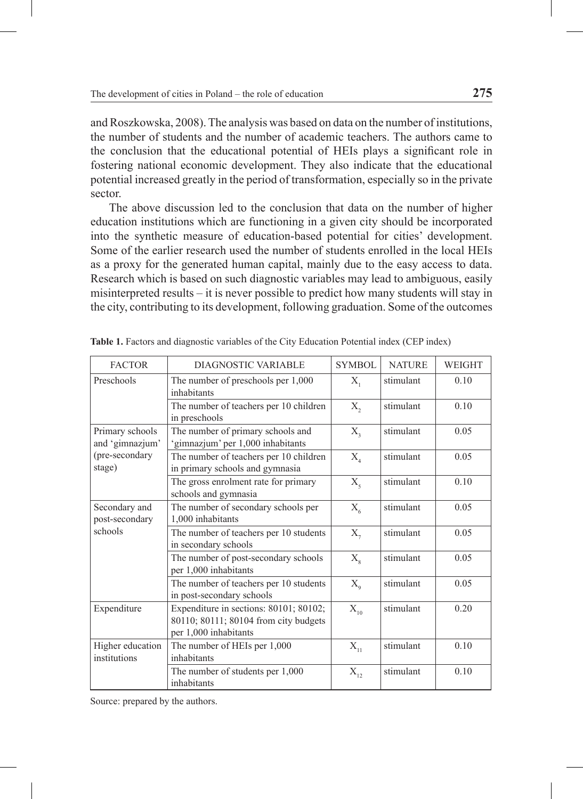and Roszkowska, 2008). The analysis was based on data on the number of institutions, the number of students and the number of academic teachers. The authors came to the conclusion that the educational potential of HEIs plays a significant role in fostering national economic development. They also indicate that the educational potential increased greatly in the period of transformation, especially so in the private sector.

The above discussion led to the conclusion that data on the number of higher education institutions which are functioning in a given city should be incorporated into the synthetic measure of education-based potential for cities' development. Some of the earlier research used the number of students enrolled in the local HEIs as a proxy for the generated human capital, mainly due to the easy access to data. Research which is based on such diagnostic variables may lead to ambiguous, easily misinterpreted results – it is never possible to predict how many students will stay in the city, contributing to its development, following graduation. Some of the outcomes

| <b>FACTOR</b>                                                   | DIAGNOSTIC VARIABLE                                                                                      | SYMBOL.                               | <b>NATURE</b> | <b>WEIGHT</b> |
|-----------------------------------------------------------------|----------------------------------------------------------------------------------------------------------|---------------------------------------|---------------|---------------|
| Preschools<br>The number of preschools per 1,000<br>inhabitants |                                                                                                          | $X_{1}$                               | stimulant     | 0.10          |
|                                                                 | The number of teachers per 10 children<br>in preschools                                                  | $X_{2}$                               | stimulant     | 0.10          |
| Primary schools<br>and 'gimnazjum'                              | The number of primary schools and<br>'gimnazjum' per 1,000 inhabitants                                   | $X_{\mathcal{F}}$                     | stimulant     | 0.05          |
| (pre-secondary<br>stage)                                        | The number of teachers per 10 children<br>in primary schools and gymnasia                                | $X_{4}$                               | stimulant     | 0.05          |
|                                                                 | The gross enrolment rate for primary<br>schools and gymnasia                                             | $X_{\varsigma}$                       | stimulant     | 0.10          |
| Secondary and<br>post-secondary                                 | The number of secondary schools per<br>1,000 inhabitants                                                 | $X_{6}$                               | stimulant     | 0.05          |
| schools                                                         | The number of teachers per 10 students<br>in secondary schools                                           | $X_{7}$                               | stimulant     | 0.05          |
|                                                                 | The number of post-secondary schools<br>per 1,000 inhabitants                                            | $X_{\rm g}$                           | stimulant     | 0.05          |
|                                                                 | The number of teachers per 10 students<br>in post-secondary schools                                      | $X_{\mathrm{o}}$                      | stimulant     | 0.05          |
| Expenditure                                                     | Expenditure in sections: 80101; 80102;<br>80110; 80111; 80104 from city budgets<br>per 1,000 inhabitants | $X_{10}$                              | stimulant     | 0.20          |
| Higher education<br>institutions                                | The number of HEIs per 1,000<br>inhabitants                                                              | $X_{11}$                              | stimulant     | 0.10          |
|                                                                 | The number of students per 1,000<br>inhabitants                                                          | $\mathbf{X}_{\scriptscriptstyle{12}}$ | stimulant     | 0.10          |

**Table 1.** Factors and diagnostic variables of the City Education Potential index (CEP index)

Source: prepared by the authors.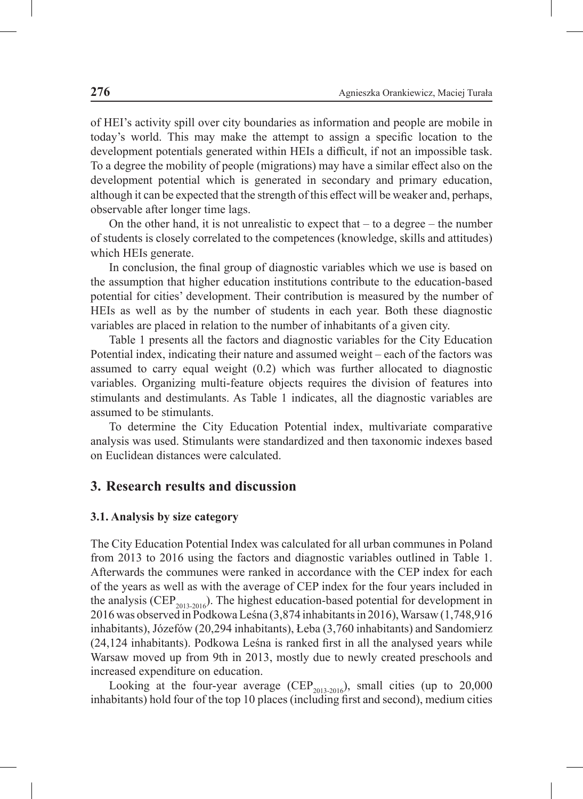of HEI's activity spill over city boundaries as information and people are mobile in today's world. This may make the attempt to assign a specific location to the development potentials generated within HEIs a difficult, if not an impossible task. To a degree the mobility of people (migrations) may have a similar effect also on the development potential which is generated in secondary and primary education, although it can be expected that the strength of this effect will be weaker and, perhaps, observable after longer time lags.

On the other hand, it is not unrealistic to expect that  $-$  to a degree  $-$  the number of students is closely correlated to the competences (knowledge, skills and attitudes) which HEIs generate.

In conclusion, the final group of diagnostic variables which we use is based on the assumption that higher education institutions contribute to the education-based potential for cities' development. Their contribution is measured by the number of HEIs as well as by the number of students in each year. Both these diagnostic variables are placed in relation to the number of inhabitants of a given city.

Table 1 presents all the factors and diagnostic variables for the City Education Potential index, indicating their nature and assumed weight – each of the factors was assumed to carry equal weight (0.2) which was further allocated to diagnostic variables. Organizing multi-feature objects requires the division of features into stimulants and destimulants. As Table 1 indicates, all the diagnostic variables are assumed to be stimulants.

To determine the City Education Potential index, multivariate comparative analysis was used. Stimulants were standardized and then taxonomic indexes based on Euclidean distances were calculated.

#### **3. Research results and discussion**

#### **3.1. Analysis by size category**

The City Education Potential Index was calculated for all urban communes in Poland from 2013 to 2016 using the factors and diagnostic variables outlined in Table 1. Afterwards the communes were ranked in accordance with the CEP index for each of the years as well as with the average of CEP index for the four years included in the analysis (CEP<sub>2013-2016</sub>). The highest education-based potential for development in 2016 was observed in Podkowa Leśna (3,874 inhabitants in 2016), Warsaw (1,748,916 inhabitants), Józefów (20,294 inhabitants), Łeba (3,760 inhabitants) and Sandomierz (24,124 inhabitants). Podkowa Leśna is ranked first in all the analysed years while Warsaw moved up from 9th in 2013, mostly due to newly created preschools and increased expenditure on education.

Looking at the four-year average (CEP<sub>2013-2016</sub>), small cities (up to 20,000 inhabitants) hold four of the top 10 places (including first and second), medium cities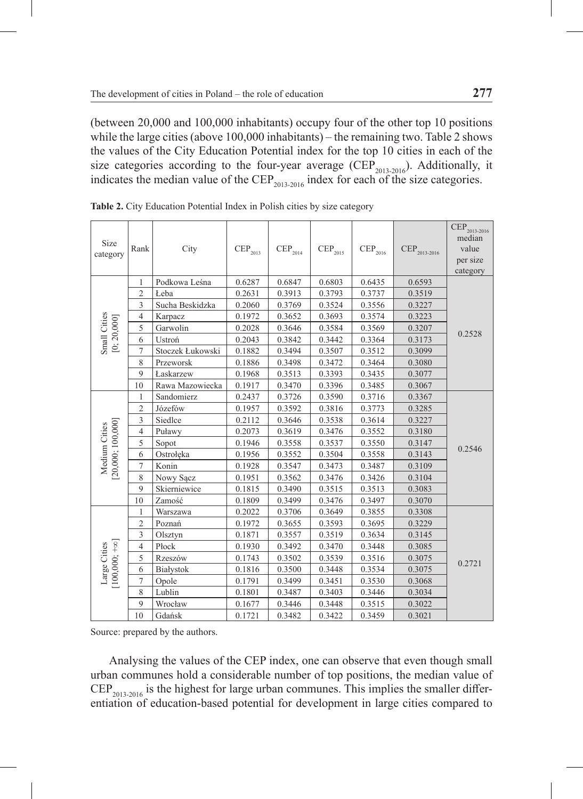(between 20,000 and 100,000 inhabitants) occupy four of the other top 10 positions while the large cities (above 100,000 inhabitants) – the remaining two. Table 2 shows the values of the City Education Potential index for the top 10 cities in each of the size categories according to the four-year average (CEP<sub>2013-2016</sub>). Additionally, it indicates the median value of the CEP<sub>2013-2016</sub> index for each of the size categories.

| Size<br>category                    | Rank           | City             | $\mathrm{CEP}_{2013}$ | $\mathrm{CEP}_{2014}$ | $\mathrm{CEP}_{2015}$ | $CEP_{2016}$ | CEP <sub>2013-2016</sub> | $\overline{\text{CEP}}_{2013\text{-}2016}$<br>median<br>value<br>per size<br>category |  |
|-------------------------------------|----------------|------------------|-----------------------|-----------------------|-----------------------|--------------|--------------------------|---------------------------------------------------------------------------------------|--|
|                                     | 1              | Podkowa Leśna    | 0.6287                | 0.6847                | 0.6803                | 0.6435       | 0.6593                   |                                                                                       |  |
|                                     | $\overline{2}$ | Łeba             | 0.2631                | 0.3913                | 0.3793                | 0.3737       | 0.3519                   |                                                                                       |  |
|                                     | 3              | Sucha Beskidzka  | 0.2060                | 0.3769                | 0.3524                | 0.3556       | 0.3227                   |                                                                                       |  |
| Small Cities<br>[0: 20,000]         | $\overline{4}$ | Karpacz          | 0.1972                | 0.3652                | 0.3693                | 0.3574       | 0.3223                   |                                                                                       |  |
|                                     | 5              | Garwolin         | 0.2028                | 0.3646                | 0.3584                | 0.3569       | 0.3207                   |                                                                                       |  |
|                                     | 6              | Ustroń           | 0.2043                | 0.3842                | 0.3442                | 0.3364       | 0.3173                   | 0.2528                                                                                |  |
|                                     | $\overline{7}$ | Stoczek Łukowski | 0.1882                | 0.3494                | 0.3507                | 0.3512       | 0.3099                   |                                                                                       |  |
|                                     | 8              | Przeworsk        | 0.1886                | 0.3498                | 0.3472                | 0.3464       | 0.3080                   |                                                                                       |  |
|                                     | 9              | Łaskarzew        | 0.1968                | 0.3513                | 0.3393                | 0.3435       | 0.3077                   |                                                                                       |  |
|                                     | 10             | Rawa Mazowiecka  | 0.1917                | 0.3470                | 0.3396                | 0.3485       | 0.3067                   |                                                                                       |  |
|                                     | 1              | Sandomierz       | 0.2437                | 0.3726                | 0.3590                | 0.3716       | 0.3367                   |                                                                                       |  |
|                                     | $\overline{c}$ | Józefów          | 0.1957                | 0.3592                | 0.3816                | 0.3773       | 0.3285                   |                                                                                       |  |
|                                     | 3              | Siedlce          | 0.2112                | 0.3646                | 0.3538                | 0.3614       | 0.3227                   |                                                                                       |  |
|                                     | $\overline{4}$ | Puławy           | 0.2073                | 0.3619                | 0.3476                | 0.3552       | 0.3180                   |                                                                                       |  |
| [20,000; 100,000]<br>Medium Cities  | 5              | Sopot            | 0.1946                | 0.3558                | 0.3537                | 0.3550       | 0.3147                   | 0.2546                                                                                |  |
|                                     | 6              | Ostrołęka        | 0.1956                | 0.3552                | 0.3504                | 0.3558       | 0.3143                   |                                                                                       |  |
|                                     | 7              | Konin            | 0.1928                | 0.3547                | 0.3473                | 0.3487       | 0.3109                   |                                                                                       |  |
|                                     | 8              | Nowy Sącz        | 0.1951                | 0.3562                | 0.3476                | 0.3426       | 0.3104                   |                                                                                       |  |
|                                     | 9              | Skierniewice     | 0.1815                | 0.3490                | 0.3515                | 0.3513       | 0.3083                   |                                                                                       |  |
|                                     | 10             | Zamość           | 0.1809                | 0.3499                | 0.3476                | 0.3497       | 0.3070                   |                                                                                       |  |
|                                     | 1              | Warszawa         | 0.2022                | 0.3706                | 0.3649                | 0.3855       | 0.3308                   |                                                                                       |  |
|                                     | $\overline{c}$ | Poznań           | 0.1972                | 0.3655                | 0.3593                | 0.3695       | 0.3229                   |                                                                                       |  |
|                                     | 3              | Olsztyn          | 0.1871                | 0.3557                | 0.3519                | 0.3634       | 0.3145                   |                                                                                       |  |
|                                     | $\overline{4}$ | Płock            | 0.1930                | 0.3492                | 0.3470                | 0.3448       | 0.3085                   |                                                                                       |  |
|                                     | 5              | Rzeszów          | 0.1743                | 0.3502                | 0.3539                | 0.3516       | 0.3075                   | 0.2721                                                                                |  |
| $[100,000;+\infty]$<br>Large Cities | 6              | Białystok        | 0.1816                | 0.3500                | 0.3448                | 0.3534       | 0.3075                   |                                                                                       |  |
|                                     | 7              | Opole            | 0.1791                | 0.3499                | 0.3451                | 0.3530       | 0.3068                   |                                                                                       |  |
|                                     | 8              | Lublin           | 0.1801                | 0.3487                | 0.3403                | 0.3446       | 0.3034                   |                                                                                       |  |
|                                     | 9              | Wrocław          | 0.1677                | 0.3446                | 0.3448                | 0.3515       | 0.3022                   |                                                                                       |  |
|                                     | 10             | Gdańsk           | 0.1721                | 0.3482                | 0.3422                | 0.3459       | 0.3021                   |                                                                                       |  |

Table 2. City Education Potential Index in Polish cities by size category

Source: prepared by the authors.

Analysing the values of the CEP index, one can observe that even though small urban communes hold a considerable number of top positions, the median value of  $CEP_{2013-2016}$  is the highest for large urban communes. This implies the smaller differentiation of education-based potential for development in large cities compared to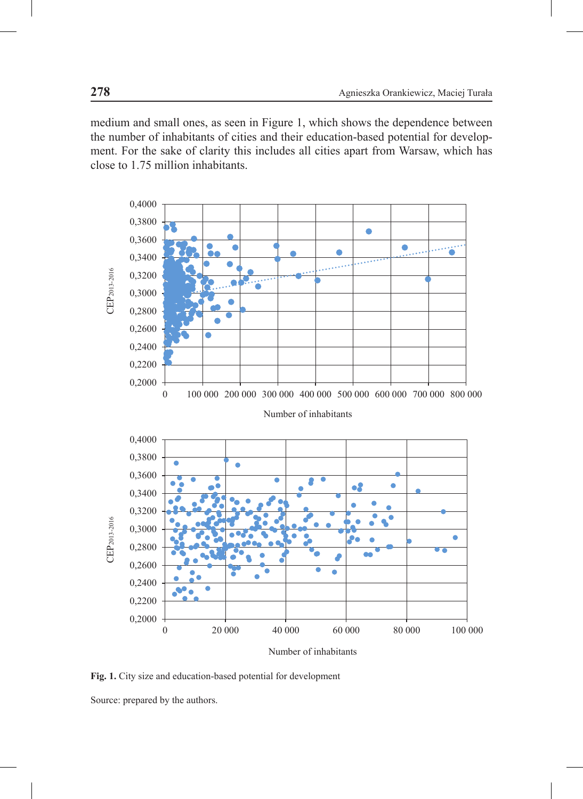medium and small ones, as seen in Figure 1, which shows the dependence between the number of inhabitants of cities and their education-based potential for development. For the sake of clarity this includes all cities apart from Warsaw, which has close to 1.75 million inhabitants.



**Fig. 1.** City size and education-based potential for development

Source: prepared by the authors.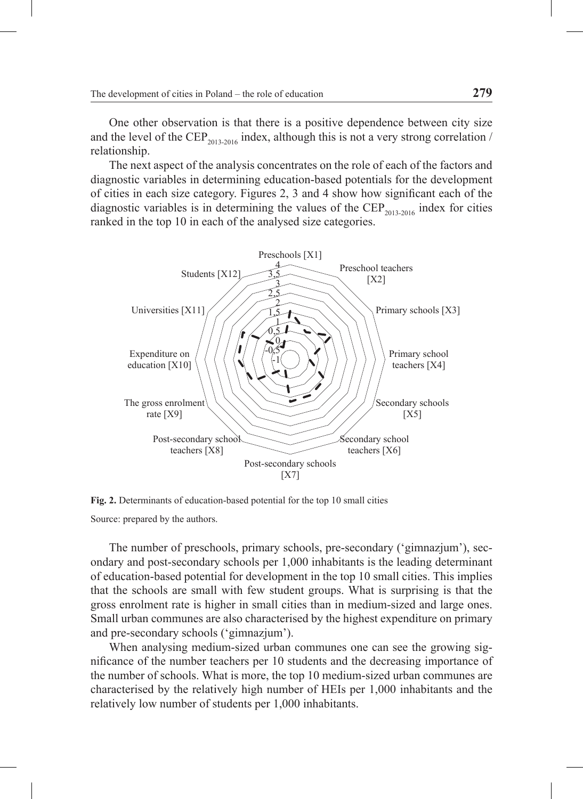One other observation is that there is a positive dependence between city size and the level of the CEP<sub>2013-2016</sub> index, although this is not a very strong correlation / relationship.

The next aspect of the analysis concentrates on the role of each of the factors and diagnostic variables in determining education-based potentials for the development of cities in each size category. Figures 2, 3 and 4 show how significant each of the diagnostic variables is in determining the values of the CEP<sub>2013-2016</sub> index for cities ranked in the top 10 in each of the analysed size categories.



**Fig. 2.** Determinants of education-based potential for the top 10 small cities Source: prepared by the authors.

The number of preschools, primary schools, pre-secondary ('gimnazjum'), secondary and post-secondary schools per 1,000 inhabitants is the leading determinant of education-based potential for development in the top 10 small cities. This implies that the schools are small with few student groups. What is surprising is that the gross enrolment rate is higher in small cities than in medium-sized and large ones. Small urban communes are also characterised by the highest expenditure on primary and pre-secondary schools ('gimnazjum').

When analysing medium-sized urban communes one can see the growing significance of the number teachers per 10 students and the decreasing importance of the number of schools. What is more, the top 10 medium-sized urban communes are characterised by the relatively high number of HEIs per 1,000 inhabitants and the relatively low number of students per 1,000 inhabitants.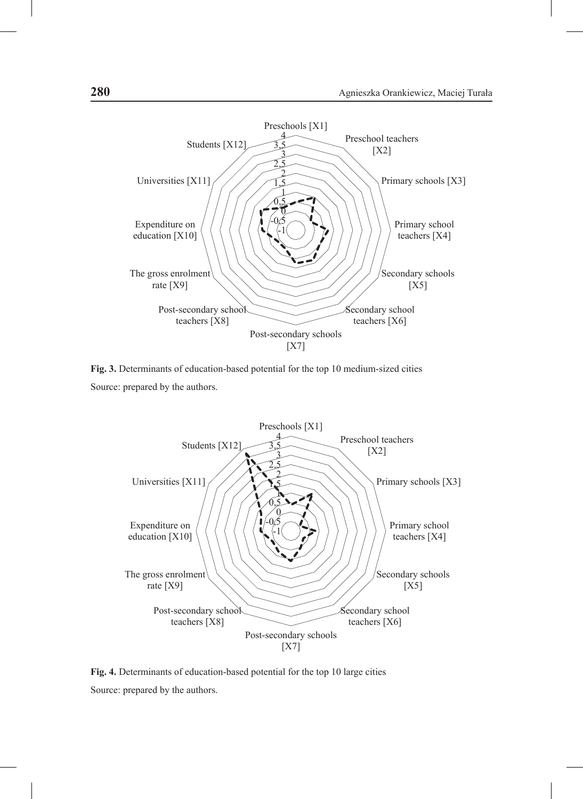

**Fig. 3.** Determinants of education-based potential for the top 10 medium-sized cities Source: prepared by the authors.



**Fig. 4.** Determinants of education-based potential for the top 10 large cities Source: prepared by the authors.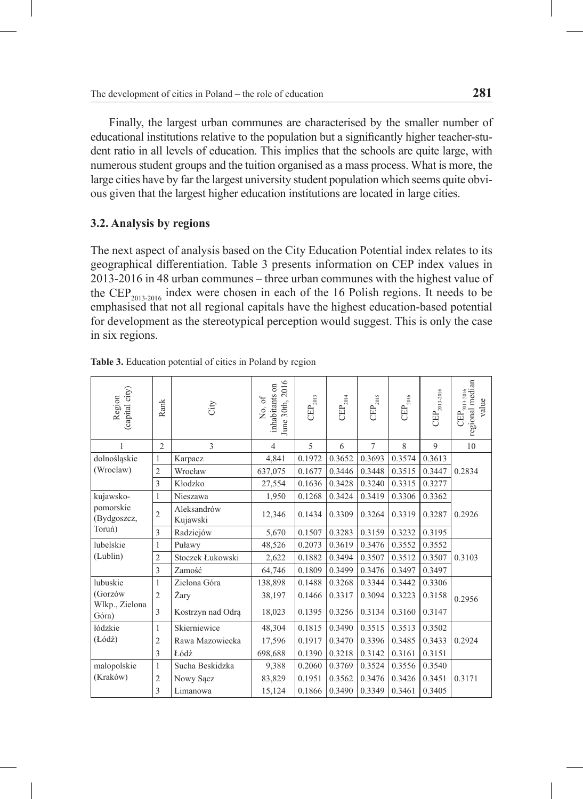Finally, the largest urban communes are characterised by the smaller number of educational institutions relative to the population but a significantly higher teacher-student ratio in all levels of education. This implies that the schools are quite large, with numerous student groups and the tuition organised as a mass process. What is more, the large cities have by far the largest university student population which seems quite obvious given that the largest higher education institutions are located in large cities.

### **3.2. Analysis by regions**

The next aspect of analysis based on the City Education Potential index relates to its geographical differentiation. Table 3 presents information on CEP index values in 2013-2016 in 48 urban communes – three urban communes with the highest value of the  $CEP_{2013,2016}$  index were chosen in each of the 16 Polish regions. It needs to be emphasised that not all regional capitals have the highest education-based potential for development as the stereotypical perception would suggest. This is only the case in six regions.

| (capital city)<br>Region | Rank           | City                    | June 30th, 2016<br>inhabitants on<br>No. of | $\mathrm{CEP}_{2013}$ | $\mathrm{CEP}_{2014}$ | $\mathrm{CEP}_{2015}$ | $\mathrm{CEP}_{2016}$ | $\mathrm{CEP}_{2013\text{-}2016}$ | $\left \frac{\text{CEP}_{2013-2016}}{\text{regional median}}\right $<br>value |
|--------------------------|----------------|-------------------------|---------------------------------------------|-----------------------|-----------------------|-----------------------|-----------------------|-----------------------------------|-------------------------------------------------------------------------------|
| 1                        | $\overline{c}$ | 3                       | $\overline{4}$                              | 5                     | 6                     | $\overline{7}$        | 8                     | 9                                 | 10                                                                            |
| dolnośląskie             | 1              | Karpacz                 | 4,841                                       | 0.1972                | 0.3652                | 0.3693                | 0.3574                | 0.3613                            |                                                                               |
| (Wrocław)                | $\overline{2}$ | Wrocław                 | 637,075                                     | 0.1677                | 0.3446                | 0.3448                | 0.3515                | 0.3447                            | 0.2834                                                                        |
|                          | 3              | Kłodzko                 | 27,554                                      | 0.1636                | 0.3428                | 0.3240                | 0.3315                | 0.3277                            |                                                                               |
| kujawsko-                | 1              | Nieszawa                | 1,950                                       | 0.1268                | 0.3424                | 0.3419                | 0.3306                | 0.3362                            |                                                                               |
| pomorskie<br>(Bydgoszcz, | $\overline{2}$ | Aleksandrów<br>Kujawski | 12,346                                      | 0.1434                | 0.3309                | 0.3264                | 0.3319                | 0.3287                            | 0.2926                                                                        |
| Toruń)                   | 3              | Radziejów               | 5,670                                       | 0.1507                | 0.3283                | 0.3159                | 0.3232                | 0.3195                            |                                                                               |
| lubelskie                | 1              | Puławy                  | 48,526                                      | 0.2073                | 0.3619                | 0.3476                | 0.3552                | 0.3552                            |                                                                               |
| (Lublin)                 | $\overline{2}$ | Stoczek Łukowski        | 2,622                                       | 0.1882                | 0.3494                | 0.3507                | 0.3512                | 0.3507                            | 0.3103                                                                        |
|                          | 3              | Zamość                  | 64,746                                      | 0.1809                | 0.3499                | 0.3476                | 0.3497                | 0.3497                            |                                                                               |
| lubuskie                 | 1              | Zielona Góra            | 138,898                                     | 0.1488                | 0.3268                | 0.3344                | 0.3442                | 0.3306                            |                                                                               |
| (Gorzów                  | $\overline{2}$ | Żary                    | 38,197                                      | 0.1466                | 0.3317                | 0.3094                | 0.3223                | 0.3158                            | 0.2956                                                                        |
| Wlkp., Zielona<br>Góra)  | 3              | Kostrzyn nad Odrą       | 18,023                                      | 0.1395                | 0.3256                | 0.3134                | 0.3160                | 0.3147                            |                                                                               |
| łódzkie                  | 1              | Skierniewice            | 48,304                                      | 0.1815                | 0.3490                | 0.3515                | 0.3513                | 0.3502                            |                                                                               |
| (Lódź)                   | 2              | Rawa Mazowiecka         | 17,596                                      | 0.1917                | 0.3470                | 0.3396                | 0.3485                | 0.3433                            | 0.2924                                                                        |
|                          | 3              | Łódź                    | 698,688                                     | 0.1390                | 0.3218                | 0.3142                | 0.3161                | 0.3151                            |                                                                               |
| małopolskie              | $\mathbf{1}$   | Sucha Beskidzka         | 9,388                                       | 0.2060                | 0.3769                | 0.3524                | 0.3556                | 0.3540                            |                                                                               |
| (Kraków)                 | $\overline{2}$ | Nowy Sącz               | 83,829                                      | 0.1951                | 0.3562                | 0.3476                | 0.3426                | 0.3451                            | 0.3171                                                                        |
|                          | 3              | Limanowa                | 15,124                                      | 0.1866                | 0.3490                | 0.3349                | 0.3461                | 0.3405                            |                                                                               |

**Table 3.** Education potential of cities in Poland by region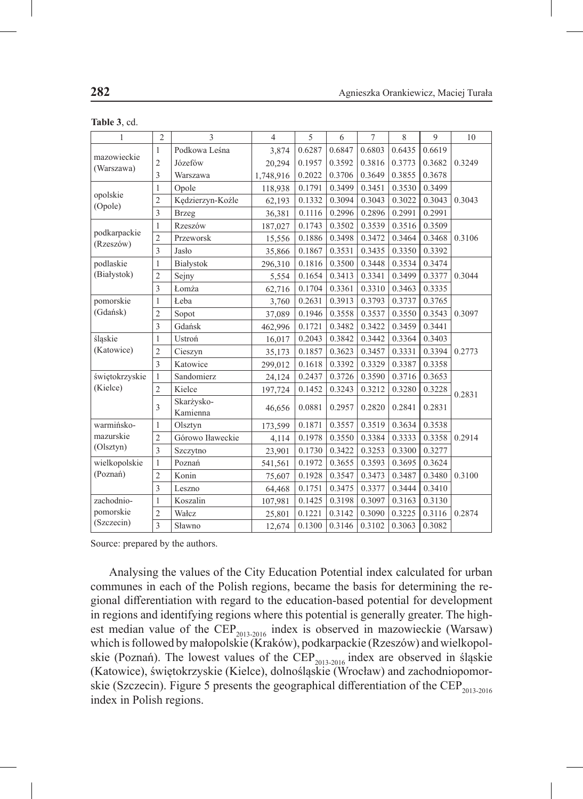| $\mathbf{1}$              | $\overline{2}$ | $\overline{\mathcal{E}}$ | $\overline{4}$ | 5      | 6      | $\overline{7}$ | 8      | 9      | 10     |
|---------------------------|----------------|--------------------------|----------------|--------|--------|----------------|--------|--------|--------|
| mazowieckie<br>(Warszawa) | 1              | Podkowa Leśna            | 3,874          | 0.6287 | 0.6847 | 0.6803         | 0.6435 | 0.6619 |        |
|                           | $\overline{c}$ | Józefów                  | 20,294         | 0.1957 | 0.3592 | 0.3816         | 0.3773 | 0.3682 | 0.3249 |
|                           | 3              | Warszawa                 | 1,748,916      | 0.2022 | 0.3706 | 0.3649         | 0.3855 | 0.3678 |        |
|                           | 1              | Opole                    | 118,938        | 0.1791 | 0.3499 | 0.3451         | 0.3530 | 0.3499 |        |
| opolskie<br>(Opole)       | $\overline{c}$ | Kędzierzyn-Koźle         | 62,193         | 0.1332 | 0.3094 | 0.3043         | 0.3022 | 0.3043 | 0.3043 |
|                           | 3              | <b>Brzeg</b>             | 36,381         | 0.1116 | 0.2996 | 0.2896         | 0.2991 | 0.2991 |        |
|                           | 1              | Rzeszów                  | 187,027        | 0.1743 | 0.3502 | 0.3539         | 0.3516 | 0.3509 |        |
| podkarpackie<br>(Rzeszów) | $\overline{c}$ | Przeworsk                | 15,556         | 0.1886 | 0.3498 | 0.3472         | 0.3464 | 0.3468 | 0.3106 |
|                           | $\overline{3}$ | Jasło                    | 35,866         | 0.1867 | 0.3531 | 0.3435         | 0.3350 | 0.3392 |        |
| podlaskie                 | 1              | Białystok                | 296,310        | 0.1816 | 0.3500 | 0.3448         | 0.3534 | 0.3474 |        |
| (Białystok)               | $\overline{2}$ | Sejny                    | 5,554          | 0.1654 | 0.3413 | 0.3341         | 0.3499 | 0.3377 | 0.3044 |
|                           | 3              | Łomża                    | 62,716         | 0.1704 | 0.3361 | 0.3310         | 0.3463 | 0.3335 |        |
| pomorskie                 | 1              | Łeba                     | 3,760          | 0.2631 | 0.3913 | 0.3793         | 0.3737 | 0.3765 |        |
| (Gdańsk)                  | $\overline{c}$ | Sopot                    | 37,089         | 0.1946 | 0.3558 | 0.3537         | 0.3550 | 0.3543 | 0.3097 |
|                           | 3              | Gdańsk                   | 462,996        | 0.1721 | 0.3482 | 0.3422         | 0.3459 | 0.3441 |        |
| śląskie                   | 1              | Ustroń                   | 16,017         | 0.2043 | 0.3842 | 0.3442         | 0.3364 | 0.3403 |        |
| (Katowice)                | 2              | Cieszyn                  | 35,173         | 0.1857 | 0.3623 | 0.3457         | 0.3331 | 0.3394 | 0.2773 |
|                           | 3              | Katowice                 | 299,012        | 0.1618 | 0.3392 | 0.3329         | 0.3387 | 0.3358 |        |
| świętokrzyskie            | $\mathbf{1}$   | Sandomierz               | 24,124         | 0.2437 | 0.3726 | 0.3590         | 0.3716 | 0.3653 |        |
| (Kielce)                  | $\overline{2}$ | Kielce                   | 197,724        | 0.1452 | 0.3243 | 0.3212         | 0.3280 | 0.3228 | 0.2831 |
|                           | 3              | Skarżysko-               | 46,656         | 0.0881 | 0.2957 | 0.2820         | 0.2841 | 0.2831 |        |
|                           |                | Kamienna                 |                |        |        |                |        |        |        |
| warmińsko-                | 1              | Olsztyn                  | 173,599        | 0.1871 | 0.3557 | 0.3519         | 0.3634 | 0.3538 |        |
| mazurskie                 | $\overline{2}$ | Górowo Iławeckie         | 4,114          | 0.1978 | 0.3550 | 0.3384         | 0.3333 | 0.3358 | 0.2914 |
| (Olsztyn)                 | 3              | Szczytno                 | 23,901         | 0.1730 | 0.3422 | 0.3253         | 0.3300 | 0.3277 |        |
| wielkopolskie<br>(Poznań) | $\mathbf{1}$   | Poznań                   | 541,561        | 0.1972 | 0.3655 | 0.3593         | 0.3695 | 0.3624 |        |
|                           | $\overline{c}$ | Konin                    | 75,607         | 0.1928 | 0.3547 | 0.3473         | 0.3487 | 0.3480 | 0.3100 |
|                           | 3              | Leszno                   | 64,468         | 0.1751 | 0.3475 | 0.3377         | 0.3444 | 0.3410 |        |
| zachodnio-                | $\mathbf{1}$   | Koszalin                 | 107,981        | 0.1425 | 0.3198 | 0.3097         | 0.3163 | 0.3130 |        |
| pomorskie<br>(Szczecin)   | $\overline{2}$ | Wałcz                    | 25,801         | 0.1221 | 0.3142 | 0.3090         | 0.3225 | 0.3116 | 0.2874 |
|                           | 3              | Sławno                   | 12,674         | 0.1300 | 0.3146 | 0.3102         | 0.3063 | 0.3082 |        |

| Table 3, cd. |  |  |
|--------------|--|--|
|--------------|--|--|

Source: prepared by the authors.

Analysing the values of the City Education Potential index calculated for urban communes in each of the Polish regions, became the basis for determining the regional differentiation with regard to the education-based potential for development in regions and identifying regions where this potential is generally greater. The highest median value of the  $CEP_{2013-2016}$  index is observed in mazowieckie (Warsaw) which is followed by małopolskie (Kraków), podkarpackie (Rzeszów) and wielkopolskie (Poznań). The lowest values of the  $CEP_{2013-2016}$  index are observed in śląskie (Katowice), świętokrzyskie (Kielce), dolnośląskie (Wrocław) and zachodniopomorskie (Szczecin). Figure 5 presents the geographical differentiation of the CEP<sub>2013-2016</sub> index in Polish regions.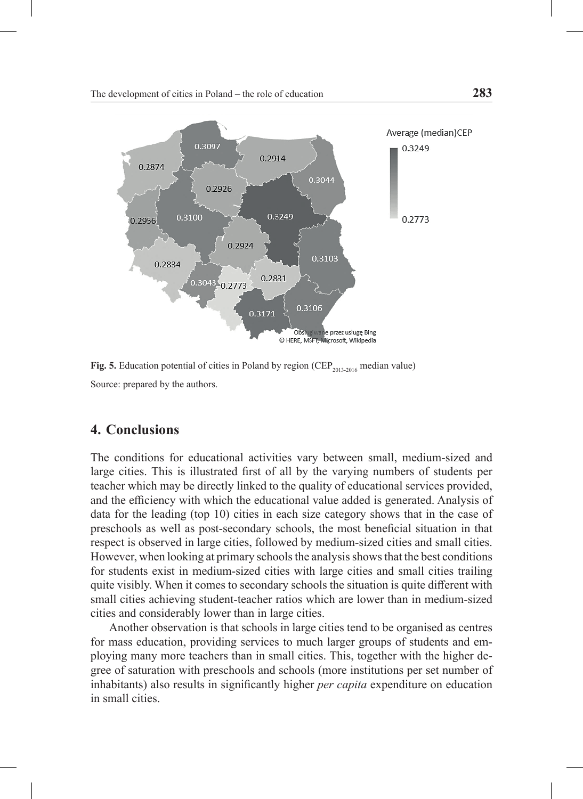

**Fig. 5.** Education potential of cities in Poland by region (CEP<sub>2013-2016</sub> median value) Source: prepared by the authors.

### **4. Conclusions**

The conditions for educational activities vary between small, medium-sized and large cities. This is illustrated first of all by the varying numbers of students per teacher which may be directly linked to the quality of educational services provided, and the efficiency with which the educational value added is generated. Analysis of data for the leading (top 10) cities in each size category shows that in the case of preschools as well as post-secondary schools, the most beneficial situation in that respect is observed in large cities, followed by medium-sized cities and small cities. However, when looking at primary schools the analysis shows that the best conditions for students exist in medium-sized cities with large cities and small cities trailing quite visibly. When it comes to secondary schools the situation is quite different with small cities achieving student-teacher ratios which are lower than in medium-sized cities and considerably lower than in large cities.

Another observation is that schools in large cities tend to be organised as centres for mass education, providing services to much larger groups of students and employing many more teachers than in small cities. This, together with the higher degree of saturation with preschools and schools (more institutions per set number of inhabitants) also results in significantly higher *per capita* expenditure on education in small cities.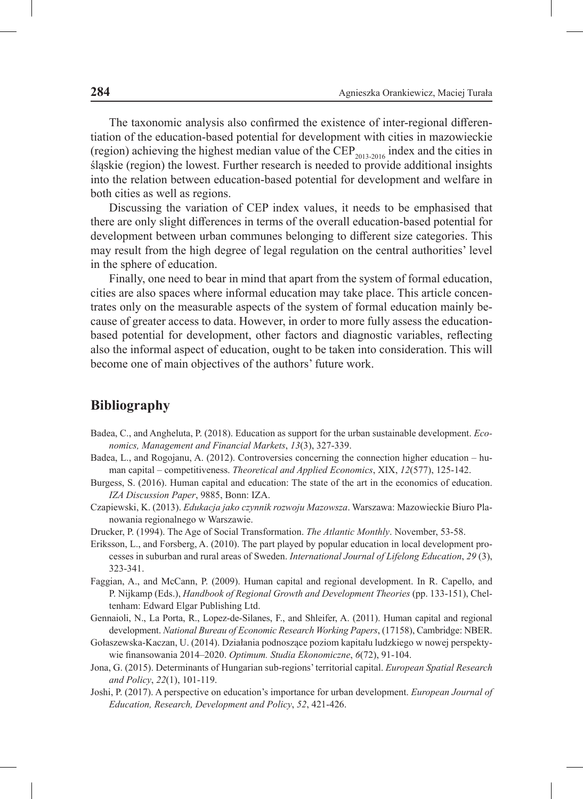The taxonomic analysis also confirmed the existence of inter-regional differentiation of the education-based potential for development with cities in mazowieckie (region) achieving the highest median value of the CEP<sub>2013-2016</sub> index and the cities in śląskie (region) the lowest. Further research is needed to provide additional insights into the relation between education-based potential for development and welfare in both cities as well as regions.

Discussing the variation of CEP index values, it needs to be emphasised that there are only slight differences in terms of the overall education-based potential for development between urban communes belonging to different size categories. This may result from the high degree of legal regulation on the central authorities' level in the sphere of education.

Finally, one need to bear in mind that apart from the system of formal education, cities are also spaces where informal education may take place. This article concentrates only on the measurable aspects of the system of formal education mainly because of greater access to data. However, in order to more fully assess the educationbased potential for development, other factors and diagnostic variables, reflecting also the informal aspect of education, ought to be taken into consideration. This will become one of main objectives of the authors' future work.

#### **Bibliography**

- Badea, C., and Angheluta, P. (2018). Education as support for the urban sustainable development. *Economics, Management and Financial Markets*, *13*(3), 327-339.
- Badea, L., and Rogojanu, A. (2012). Controversies concerning the connection higher education human capital – competitiveness. *Theoretical and Applied Economics*, XIX, *12*(577), 125-142.
- Burgess, S. (2016). Human capital and education: The state of the art in the economics of education. *IZA Discussion Paper*, 9885, Bonn: IZA.
- Czapiewski, K. (2013). *Edukacja jako czynnik rozwoju Mazowsza*. Warszawa: Mazowieckie Biuro Planowania regionalnego w Warszawie.
- Drucker, P. (1994). The Age of Social Transformation. *The Atlantic Monthly*. November, 53-58.
- Eriksson, L., and Forsberg, A. (2010). The part played by popular education in local development processes in suburban and rural areas of Sweden. *International Journal of Lifelong Education*, *29* (3), 323-341.
- Faggian, A., and McCann, P. (2009). Human capital and regional development. In R. Capello, and P. Nijkamp (Eds.), *Handbook of Regional Growth and Development Theories* (pp. 133-151), Cheltenham: Edward Elgar Publishing Ltd.
- Gennaioli, N., La Porta, R., Lopez-de-Silanes, F., and Shleifer, A. (2011). Human capital and regional development. *National Bureau of Economic Research Working Papers*, (17158), Cambridge: NBER.
- Gołaszewska-Kaczan, U. (2014). Działania podnoszące poziom kapitału ludzkiego w nowej perspektywie finansowania 2014–2020. *Optimum. Studia Ekonomiczne*, *6*(72), 91-104.
- Jona, G. (2015). Determinants of Hungarian sub-regions' territorial capital. *European Spatial Research and Policy*, *22*(1), 101-119.
- Joshi, P. (2017). A perspective on education's importance for urban development. *European Journal of Education, Research, Development and Policy*, *52*, 421-426.